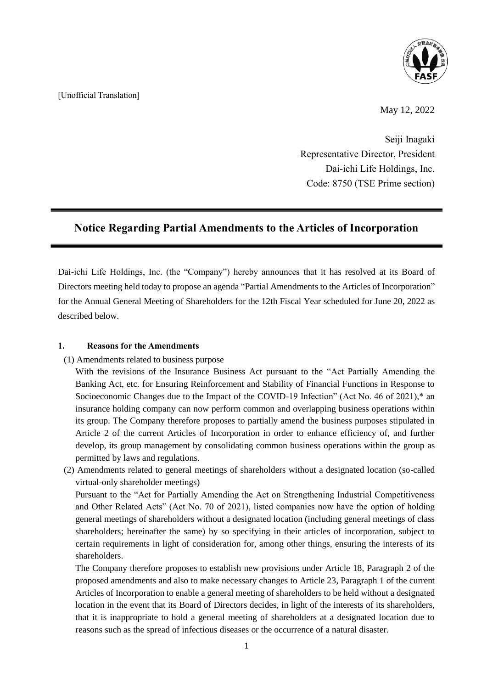

## [Unofficial Translation]

May 12, 2022

Seiji Inagaki Representative Director, President Dai-ichi Life Holdings, Inc. Code: 8750 (TSE Prime section)

# **Notice Regarding Partial Amendments to the Articles of Incorporation**

Dai-ichi Life Holdings, Inc. (the "Company") hereby announces that it has resolved at its Board of Directors meeting held today to propose an agenda "Partial Amendments to the Articles of Incorporation" for the Annual General Meeting of Shareholders for the 12th Fiscal Year scheduled for June 20, 2022 as described below.

### **1. Reasons for the Amendments**

(1) Amendments related to business purpose

With the revisions of the Insurance Business Act pursuant to the "Act Partially Amending the Banking Act, etc. for Ensuring Reinforcement and Stability of Financial Functions in Response to Socioeconomic Changes due to the Impact of the COVID-19 Infection" (Act No. 46 of 2021),\* an insurance holding company can now perform common and overlapping business operations within its group. The Company therefore proposes to partially amend the business purposes stipulated in Article 2 of the current Articles of Incorporation in order to enhance efficiency of, and further develop, its group management by consolidating common business operations within the group as permitted by laws and regulations.

(2) Amendments related to general meetings of shareholders without a designated location (so-called virtual-only shareholder meetings)

Pursuant to the "Act for Partially Amending the Act on Strengthening Industrial Competitiveness and Other Related Acts" (Act No. 70 of 2021), listed companies now have the option of holding general meetings of shareholders without a designated location (including general meetings of class shareholders; hereinafter the same) by so specifying in their articles of incorporation, subject to certain requirements in light of consideration for, among other things, ensuring the interests of its shareholders.

The Company therefore proposes to establish new provisions under Article 18, Paragraph 2 of the proposed amendments and also to make necessary changes to Article 23, Paragraph 1 of the current Articles of Incorporation to enable a general meeting of shareholders to be held without a designated location in the event that its Board of Directors decides, in light of the interests of its shareholders, that it is inappropriate to hold a general meeting of shareholders at a designated location due to reasons such as the spread of infectious diseases or the occurrence of a natural disaster.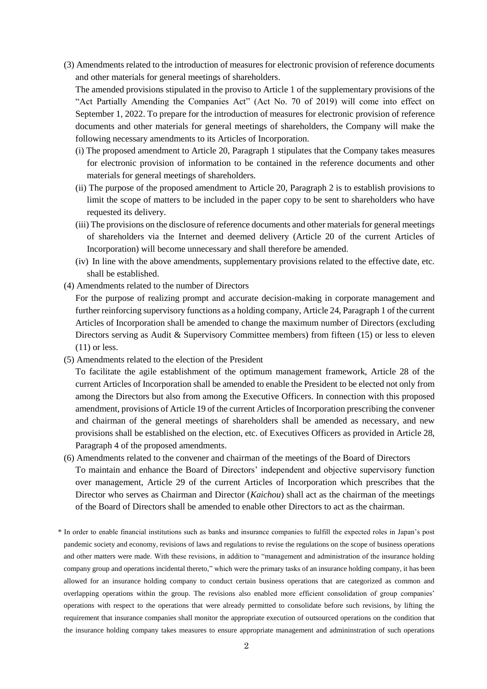(3) Amendments related to the introduction of measures for electronic provision of reference documents and other materials for general meetings of shareholders.

The amended provisions stipulated in the proviso to Article 1 of the supplementary provisions of the "Act Partially Amending the Companies Act" (Act No. 70 of 2019) will come into effect on September 1, 2022. To prepare for the introduction of measures for electronic provision of reference documents and other materials for general meetings of shareholders, the Company will make the following necessary amendments to its Articles of Incorporation.

- (i) The proposed amendment to Article 20, Paragraph 1 stipulates that the Company takes measures for electronic provision of information to be contained in the reference documents and other materials for general meetings of shareholders.
- (ii) The purpose of the proposed amendment to Article 20, Paragraph 2 is to establish provisions to limit the scope of matters to be included in the paper copy to be sent to shareholders who have requested its delivery.
- (iii) The provisions on the disclosure of reference documents and other materials for general meetings of shareholders via the Internet and deemed delivery (Article 20 of the current Articles of Incorporation) will become unnecessary and shall therefore be amended.
- (iv) In line with the above amendments, supplementary provisions related to the effective date, etc. shall be established.
- (4) Amendments related to the number of Directors

For the purpose of realizing prompt and accurate decision-making in corporate management and further reinforcing supervisory functions as a holding company, Article 24, Paragraph 1 of the current Articles of Incorporation shall be amended to change the maximum number of Directors (excluding Directors serving as Audit & Supervisory Committee members) from fifteen (15) or less to eleven (11) or less.

- (5) Amendments related to the election of the President
	- To facilitate the agile establishment of the optimum management framework, Article 28 of the current Articles of Incorporation shall be amended to enable the President to be elected not only from among the Directors but also from among the Executive Officers. In connection with this proposed amendment, provisions of Article 19 of the current Articles of Incorporation prescribing the convener and chairman of the general meetings of shareholders shall be amended as necessary, and new provisions shall be established on the election, etc. of Executives Officers as provided in Article 28, Paragraph 4 of the proposed amendments.
- (6) Amendments related to the convener and chairman of the meetings of the Board of Directors To maintain and enhance the Board of Directors' independent and objective supervisory function over management, Article 29 of the current Articles of Incorporation which prescribes that the Director who serves as Chairman and Director (*Kaichou*) shall act as the chairman of the meetings of the Board of Directors shall be amended to enable other Directors to act as the chairman.
- \* In order to enable financial institutions such as banks and insurance companies to fulfill the expected roles in Japan's post pandemic society and economy, revisions of laws and regulations to revise the regulations on the scope of business operations and other matters were made. With these revisions, in addition to "management and administration of the insurance holding company group and operations incidental thereto," which were the primary tasks of an insurance holding company, it has been allowed for an insurance holding company to conduct certain business operations that are categorized as common and overlapping operations within the group. The revisions also enabled more efficient consolidation of group companies' operations with respect to the operations that were already permitted to consolidate before such revisions, by lifting the requirement that insurance companies shall monitor the appropriate execution of outsourced operations on the condition that the insurance holding company takes measures to ensure appropriate management and admininstration of such operations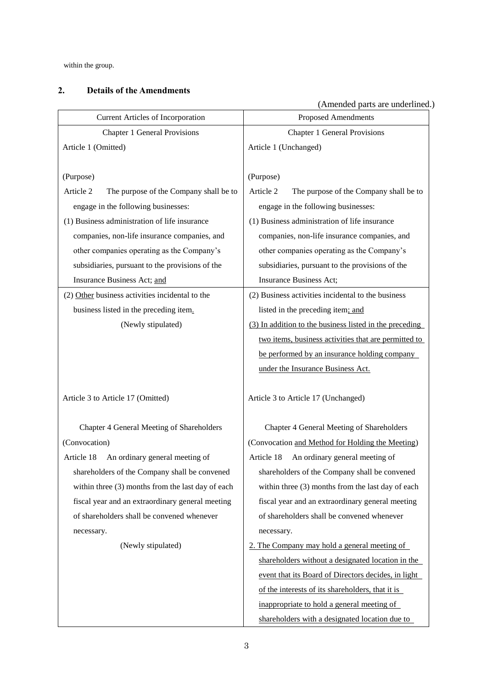within the group.

### **2. Details of the Amendments**

(Amended parts are underlined.) Current Articles of Incorporation Proposed Amendments Chapter 1 General Provisions Chapter 1 General Provisions Article 1 (Omitted) Article 1 (Unchanged) (Purpose) (Purpose) Article 2 The purpose of the Company shall be to engage in the following businesses: Article 2 The purpose of the Company shall be to engage in the following businesses: (1) Business administration of life insurance companies, non-life insurance companies, and other companies operating as the Company's subsidiaries, pursuant to the provisions of the Insurance Business Act; and (1) Business administration of life insurance companies, non-life insurance companies, and other companies operating as the Company's subsidiaries, pursuant to the provisions of the Insurance Business Act; (2) Other business activities incidental to the business listed in the preceding item. (2) Business activities incidental to the business listed in the preceding item; and (Newly stipulated) (3) In addition to the business listed in the preceding two items, business activities that are permitted to be performed by an insurance holding company under the Insurance Business Act. Article 3 to Article 17 (Omitted) Article 3 to Article 17 (Unchanged) Chapter 4 General Meeting of Shareholders Chapter 4 General Meeting of Shareholders (Convocation) (Convocation and Method for Holding the Meeting) Article 18 An ordinary general meeting of shareholders of the Company shall be convened within three (3) months from the last day of each fiscal year and an extraordinary general meeting of shareholders shall be convened whenever necessary. Article 18 An ordinary general meeting of shareholders of the Company shall be convened within three (3) months from the last day of each fiscal year and an extraordinary general meeting of shareholders shall be convened whenever necessary. (Newly stipulated) 2. The Company may hold a general meeting of shareholders without a designated location in the

event that its Board of Directors decides, in light

of the interests of its shareholders, that it is inappropriate to hold a general meeting of

shareholders with a designated location due to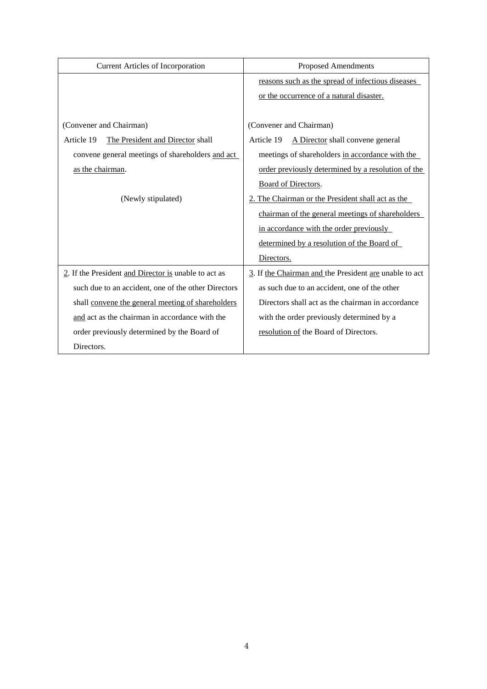| <b>Current Articles of Incorporation</b>             | <b>Proposed Amendments</b>                             |
|------------------------------------------------------|--------------------------------------------------------|
|                                                      | reasons such as the spread of infectious diseases      |
|                                                      | or the occurrence of a natural disaster.               |
|                                                      |                                                        |
| (Convener and Chairman)                              | (Convener and Chairman)                                |
| Article 19<br>The President and Director shall       | A Director shall convene general<br>Article 19         |
| convene general meetings of shareholders and act     | meetings of shareholders in accordance with the        |
| as the chairman.                                     | order previously determined by a resolution of the     |
|                                                      | Board of Directors.                                    |
| (Newly stipulated)                                   | 2. The Chairman or the President shall act as the      |
|                                                      | chairman of the general meetings of shareholders       |
|                                                      | in accordance with the order previously                |
|                                                      | determined by a resolution of the Board of             |
|                                                      | Directors.                                             |
| 2. If the President and Director is unable to act as | 3. If the Chairman and the President are unable to act |
| such due to an accident, one of the other Directors  | as such due to an accident, one of the other           |
| shall convene the general meeting of shareholders    | Directors shall act as the chairman in accordance      |
| and act as the chairman in accordance with the       | with the order previously determined by a              |
| order previously determined by the Board of          | resolution of the Board of Directors.                  |
| Directors.                                           |                                                        |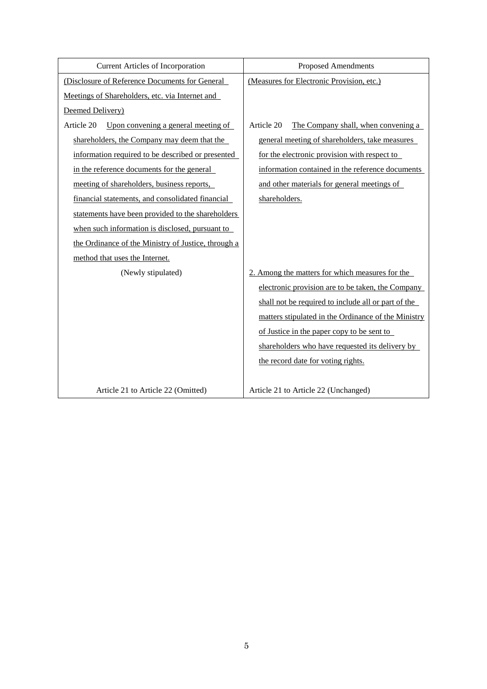| Current Articles of Incorporation                   | <b>Proposed Amendments</b>                          |
|-----------------------------------------------------|-----------------------------------------------------|
| (Disclosure of Reference Documents for General      | (Measures for Electronic Provision, etc.)           |
| Meetings of Shareholders, etc. via Internet and     |                                                     |
| Deemed Delivery)                                    |                                                     |
| Article 20<br>Upon convening a general meeting of   | Article 20<br>The Company shall, when convening a   |
| shareholders, the Company may deem that the         | general meeting of shareholders, take measures      |
| information required to be described or presented   | for the electronic provision with respect to        |
| in the reference documents for the general          | information contained in the reference documents    |
| meeting of shareholders, business reports,          | and other materials for general meetings of         |
| financial statements, and consolidated financial    | shareholders.                                       |
| statements have been provided to the shareholders   |                                                     |
| when such information is disclosed, pursuant to     |                                                     |
| the Ordinance of the Ministry of Justice, through a |                                                     |
| method that uses the Internet.                      |                                                     |
| (Newly stipulated)                                  | 2. Among the matters for which measures for the     |
|                                                     | electronic provision are to be taken, the Company   |
|                                                     | shall not be required to include all or part of the |
|                                                     | matters stipulated in the Ordinance of the Ministry |
|                                                     | of Justice in the paper copy to be sent to          |
|                                                     | shareholders who have requested its delivery by     |
|                                                     | the record date for voting rights.                  |
|                                                     |                                                     |
| Article 21 to Article 22 (Omitted)                  | Article 21 to Article 22 (Unchanged)                |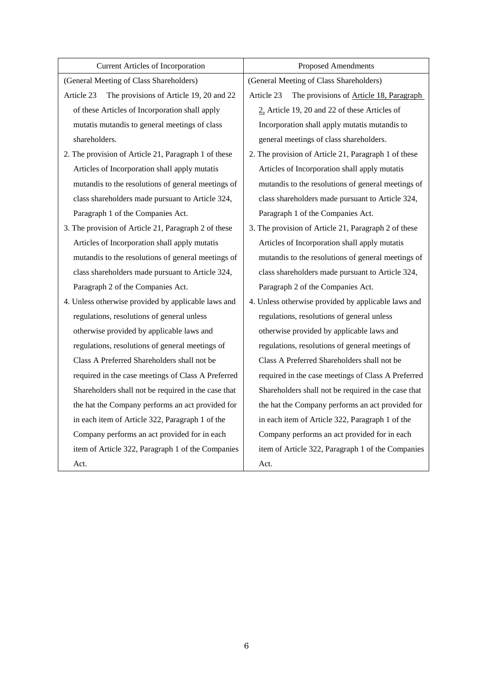| <b>Current Articles of Incorporation</b>              | <b>Proposed Amendments</b>                            |
|-------------------------------------------------------|-------------------------------------------------------|
| (General Meeting of Class Shareholders)               | (General Meeting of Class Shareholders)               |
| Article 23<br>The provisions of Article 19, 20 and 22 | Article 23<br>The provisions of Article 18, Paragraph |
| of these Articles of Incorporation shall apply        | $2$ , Article 19, 20 and 22 of these Articles of      |
| mutatis mutandis to general meetings of class         | Incorporation shall apply mutatis mutandis to         |
| shareholders.                                         | general meetings of class shareholders.               |
| 2. The provision of Article 21, Paragraph 1 of these  | 2. The provision of Article 21, Paragraph 1 of these  |
| Articles of Incorporation shall apply mutatis         | Articles of Incorporation shall apply mutatis         |
| mutandis to the resolutions of general meetings of    | mutandis to the resolutions of general meetings of    |
| class shareholders made pursuant to Article 324,      | class shareholders made pursuant to Article 324,      |
| Paragraph 1 of the Companies Act.                     | Paragraph 1 of the Companies Act.                     |
| 3. The provision of Article 21, Paragraph 2 of these  | 3. The provision of Article 21, Paragraph 2 of these  |
| Articles of Incorporation shall apply mutatis         | Articles of Incorporation shall apply mutatis         |
| mutandis to the resolutions of general meetings of    | mutandis to the resolutions of general meetings of    |
| class shareholders made pursuant to Article 324,      | class shareholders made pursuant to Article 324,      |
| Paragraph 2 of the Companies Act.                     | Paragraph 2 of the Companies Act.                     |
| 4. Unless otherwise provided by applicable laws and   | 4. Unless otherwise provided by applicable laws and   |
| regulations, resolutions of general unless            | regulations, resolutions of general unless            |
| otherwise provided by applicable laws and             | otherwise provided by applicable laws and             |
| regulations, resolutions of general meetings of       | regulations, resolutions of general meetings of       |
| Class A Preferred Shareholders shall not be           | Class A Preferred Shareholders shall not be           |
| required in the case meetings of Class A Preferred    | required in the case meetings of Class A Preferred    |
| Shareholders shall not be required in the case that   | Shareholders shall not be required in the case that   |
| the hat the Company performs an act provided for      | the hat the Company performs an act provided for      |
| in each item of Article 322, Paragraph 1 of the       | in each item of Article 322, Paragraph 1 of the       |
| Company performs an act provided for in each          | Company performs an act provided for in each          |
| item of Article 322, Paragraph 1 of the Companies     | item of Article 322, Paragraph 1 of the Companies     |
| Act.                                                  | Act.                                                  |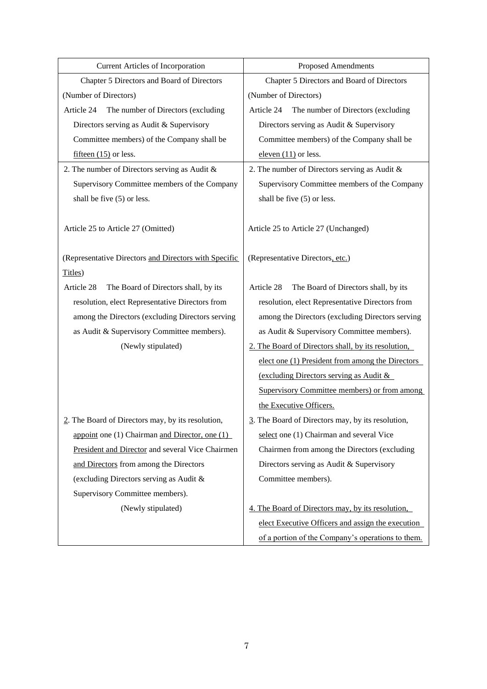| <b>Current Articles of Incorporation</b>              | <b>Proposed Amendments</b>                          |
|-------------------------------------------------------|-----------------------------------------------------|
| Chapter 5 Directors and Board of Directors            | Chapter 5 Directors and Board of Directors          |
| (Number of Directors)                                 | (Number of Directors)                               |
| Article 24<br>The number of Directors (excluding      | Article 24<br>The number of Directors (excluding    |
| Directors serving as Audit & Supervisory              | Directors serving as Audit & Supervisory            |
| Committee members) of the Company shall be            | Committee members) of the Company shall be          |
| fifteen $(15)$ or less.                               | eleven $(11)$ or less.                              |
| 2. The number of Directors serving as Audit $\&$      | 2. The number of Directors serving as Audit $\&$    |
| Supervisory Committee members of the Company          | Supervisory Committee members of the Company        |
| shall be five (5) or less.                            | shall be five (5) or less.                          |
|                                                       |                                                     |
| Article 25 to Article 27 (Omitted)                    | Article 25 to Article 27 (Unchanged)                |
|                                                       |                                                     |
| (Representative Directors and Directors with Specific | (Representative Directors, etc.)                    |
| Titles)                                               |                                                     |
| Article 28<br>The Board of Directors shall, by its    | Article 28<br>The Board of Directors shall, by its  |
| resolution, elect Representative Directors from       | resolution, elect Representative Directors from     |
| among the Directors (excluding Directors serving      | among the Directors (excluding Directors serving    |
| as Audit & Supervisory Committee members).            | as Audit & Supervisory Committee members).          |
| (Newly stipulated)                                    | 2. The Board of Directors shall, by its resolution, |
|                                                       | elect one (1) President from among the Directors    |
|                                                       | (excluding Directors serving as Audit &             |
|                                                       | Supervisory Committee members) or from among        |
|                                                       | the Executive Officers.                             |
| 2. The Board of Directors may, by its resolution,     | 3. The Board of Directors may, by its resolution,   |
| appoint one (1) Chairman and Director, one (1)        | select one (1) Chairman and several Vice            |
| President and Director and several Vice Chairmen      | Chairmen from among the Directors (excluding        |
| and Directors from among the Directors                | Directors serving as Audit & Supervisory            |
| (excluding Directors serving as Audit &               | Committee members).                                 |
| Supervisory Committee members).                       |                                                     |
| (Newly stipulated)                                    | 4. The Board of Directors may, by its resolution,   |
|                                                       | elect Executive Officers and assign the execution   |
|                                                       | of a portion of the Company's operations to them.   |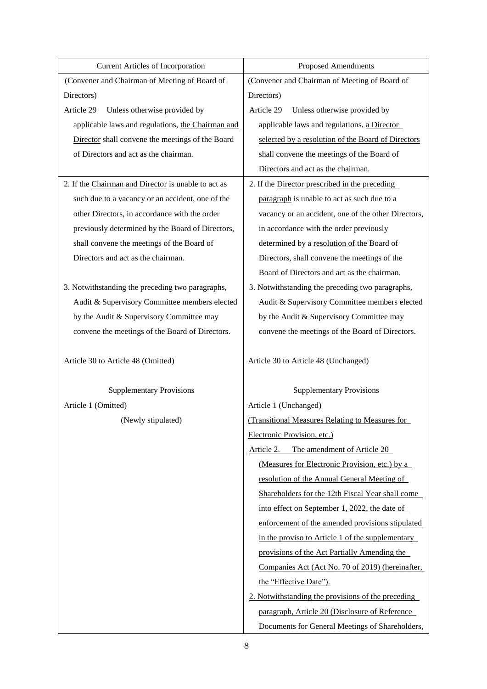| <b>Current Articles of Incorporation</b>            | Proposed Amendments                                 |
|-----------------------------------------------------|-----------------------------------------------------|
| (Convener and Chairman of Meeting of Board of       | (Convener and Chairman of Meeting of Board of       |
| Directors)                                          | Directors)                                          |
| Article 29<br>Unless otherwise provided by          | Article 29<br>Unless otherwise provided by          |
| applicable laws and regulations, the Chairman and   | applicable laws and regulations, a Director         |
| Director shall convene the meetings of the Board    | selected by a resolution of the Board of Directors  |
| of Directors and act as the chairman.               | shall convene the meetings of the Board of          |
|                                                     | Directors and act as the chairman.                  |
| 2. If the Chairman and Director is unable to act as | 2. If the Director prescribed in the preceding      |
| such due to a vacancy or an accident, one of the    | paragraph is unable to act as such due to a         |
| other Directors, in accordance with the order       | vacancy or an accident, one of the other Directors, |
| previously determined by the Board of Directors,    | in accordance with the order previously             |
| shall convene the meetings of the Board of          | determined by a resolution of the Board of          |
| Directors and act as the chairman.                  | Directors, shall convene the meetings of the        |
|                                                     | Board of Directors and act as the chairman.         |
| 3. Notwithstanding the preceding two paragraphs,    | 3. Notwithstanding the preceding two paragraphs,    |
| Audit & Supervisory Committee members elected       | Audit & Supervisory Committee members elected       |
| by the Audit & Supervisory Committee may            | by the Audit & Supervisory Committee may            |
| convene the meetings of the Board of Directors.     | convene the meetings of the Board of Directors.     |
| Article 30 to Article 48 (Omitted)                  | Article 30 to Article 48 (Unchanged)                |
| <b>Supplementary Provisions</b>                     | <b>Supplementary Provisions</b>                     |
| Article 1 (Omitted)                                 | Article 1 (Unchanged)                               |
| (Newly stipulated)                                  | (Transitional Measures Relating to Measures for     |
|                                                     | Electronic Provision, etc.)                         |
|                                                     | Article 2.<br>The amendment of Article 20           |
|                                                     | (Measures for Electronic Provision, etc.) by a      |
|                                                     | resolution of the Annual General Meeting of         |
|                                                     | Shareholders for the 12th Fiscal Year shall come    |
|                                                     | into effect on September 1, 2022, the date of       |
|                                                     | enforcement of the amended provisions stipulated    |
|                                                     | in the proviso to Article 1 of the supplementary    |
|                                                     | provisions of the Act Partially Amending the        |
|                                                     | Companies Act (Act No. 70 of 2019) (hereinafter,    |
|                                                     | the "Effective Date").                              |
|                                                     | 2. Notwithstanding the provisions of the preceding  |
|                                                     | paragraph, Article 20 (Disclosure of Reference      |
|                                                     | Documents for General Meetings of Shareholders,     |